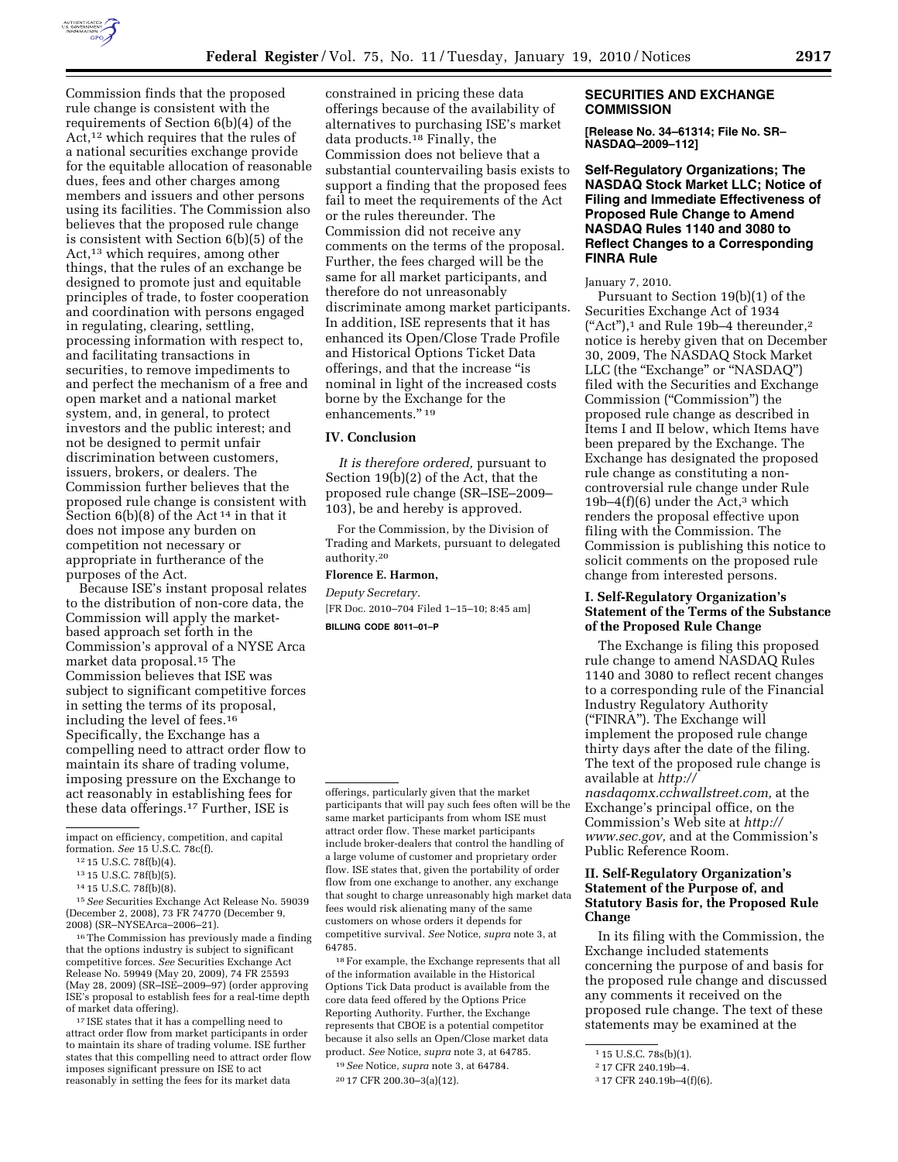

Commission finds that the proposed rule change is consistent with the requirements of Section 6(b)(4) of the Act,<sup>12</sup> which requires that the rules of a national securities exchange provide for the equitable allocation of reasonable dues, fees and other charges among members and issuers and other persons using its facilities. The Commission also believes that the proposed rule change is consistent with Section 6(b)(5) of the Act,13 which requires, among other things, that the rules of an exchange be designed to promote just and equitable principles of trade, to foster cooperation and coordination with persons engaged in regulating, clearing, settling, processing information with respect to, and facilitating transactions in securities, to remove impediments to and perfect the mechanism of a free and open market and a national market system, and, in general, to protect investors and the public interest; and not be designed to permit unfair discrimination between customers, issuers, brokers, or dealers. The Commission further believes that the proposed rule change is consistent with Section 6(b)(8) of the Act 14 in that it does not impose any burden on competition not necessary or appropriate in furtherance of the purposes of the Act.

Because ISE's instant proposal relates to the distribution of non-core data, the Commission will apply the marketbased approach set forth in the Commission's approval of a NYSE Arca market data proposal.15 The Commission believes that ISE was subject to significant competitive forces in setting the terms of its proposal, including the level of fees.16 Specifically, the Exchange has a compelling need to attract order flow to maintain its share of trading volume, imposing pressure on the Exchange to act reasonably in establishing fees for these data offerings.17 Further, ISE is

15*See* Securities Exchange Act Release No. 59039 (December 2, 2008), 73 FR 74770 (December 9, 2008) (SR–NYSEArca–2006–21).

16The Commission has previously made a finding that the options industry is subject to significant competitive forces. *See* Securities Exchange Act Release No. 59949 (May 20, 2009), 74 FR 25593 (May 28, 2009) (SR–ISE–2009–97) (order approving ISE's proposal to establish fees for a real-time depth of market data offering).

17 ISE states that it has a compelling need to attract order flow from market participants in order to maintain its share of trading volume. ISE further states that this compelling need to attract order flow imposes significant pressure on ISE to act reasonably in setting the fees for its market data

constrained in pricing these data offerings because of the availability of alternatives to purchasing ISE's market data products.18 Finally, the Commission does not believe that a substantial countervailing basis exists to support a finding that the proposed fees fail to meet the requirements of the Act or the rules thereunder. The Commission did not receive any comments on the terms of the proposal. Further, the fees charged will be the same for all market participants, and therefore do not unreasonably discriminate among market participants. In addition, ISE represents that it has enhanced its Open/Close Trade Profile and Historical Options Ticket Data offerings, and that the increase ''is nominal in light of the increased costs borne by the Exchange for the enhancements.'' 19

## **IV. Conclusion**

*It is therefore ordered,* pursuant to Section 19(b)(2) of the Act, that the proposed rule change (SR–ISE–2009– 103), be and hereby is approved.

For the Commission, by the Division of Trading and Markets, pursuant to delegated authority.20

#### **Florence E. Harmon,**

*Deputy Secretary.* 

[FR Doc. 2010–704 Filed 1–15–10; 8:45 am] **BILLING CODE 8011–01–P** 

18For example, the Exchange represents that all of the information available in the Historical Options Tick Data product is available from the core data feed offered by the Options Price Reporting Authority. Further, the Exchange represents that CBOE is a potential competitor because it also sells an Open/Close market data product. *See* Notice, *supra* note 3, at 64785. 19*See* Notice, *supra* note 3, at 64784.

#### **SECURITIES AND EXCHANGE COMMISSION**

**[Release No. 34–61314; File No. SR– NASDAQ–2009–112]** 

**Self-Regulatory Organizations; The NASDAQ Stock Market LLC; Notice of Filing and Immediate Effectiveness of Proposed Rule Change to Amend NASDAQ Rules 1140 and 3080 to Reflect Changes to a Corresponding FINRA Rule** 

January 7, 2010.

Pursuant to Section 19(b)(1) of the Securities Exchange Act of 1934  $("Act")$ ,<sup>1</sup> and Rule 19b-4 thereunder,<sup>2</sup> notice is hereby given that on December 30, 2009, The NASDAQ Stock Market LLC (the "Exchange" or "NASDAQ") filed with the Securities and Exchange Commission (''Commission'') the proposed rule change as described in Items I and II below, which Items have been prepared by the Exchange. The Exchange has designated the proposed rule change as constituting a noncontroversial rule change under Rule 19b–4 $(f)(6)$  under the Act,<sup>3</sup> which renders the proposal effective upon filing with the Commission. The Commission is publishing this notice to solicit comments on the proposed rule change from interested persons.

# **I. Self-Regulatory Organization's Statement of the Terms of the Substance of the Proposed Rule Change**

The Exchange is filing this proposed rule change to amend NASDAQ Rules 1140 and 3080 to reflect recent changes to a corresponding rule of the Financial Industry Regulatory Authority (''FINRA''). The Exchange will implement the proposed rule change thirty days after the date of the filing. The text of the proposed rule change is available at *http:// nasdaqomx.cchwallstreet.com,* at the Exchange's principal office, on the Commission's Web site at *http:// www.sec.gov,* and at the Commission's Public Reference Room.

# **II. Self-Regulatory Organization's Statement of the Purpose of, and Statutory Basis for, the Proposed Rule Change**

In its filing with the Commission, the Exchange included statements concerning the purpose of and basis for the proposed rule change and discussed any comments it received on the proposed rule change. The text of these statements may be examined at the

impact on efficiency, competition, and capital formation. *See* 15 U.S.C. 78c(f).

<sup>12</sup> 15 U.S.C. 78f(b)(4).

<sup>13</sup> 15 U.S.C. 78f(b)(5).

<sup>14</sup> 15 U.S.C. 78f(b)(8).

offerings, particularly given that the market participants that will pay such fees often will be the same market participants from whom ISE must attract order flow. These market participants include broker-dealers that control the handling of a large volume of customer and proprietary order flow. ISE states that, given the portability of order flow from one exchange to another, any exchange that sought to charge unreasonably high market data fees would risk alienating many of the same customers on whose orders it depends for competitive survival. *See* Notice, *supra* note 3, at 64785.

<sup>20</sup> 17 CFR 200.30–3(a)(12).

<sup>1</sup> 15 U.S.C. 78s(b)(1).

<sup>2</sup> 17 CFR 240.19b–4.

<sup>3</sup> 17 CFR 240.19b–4(f)(6).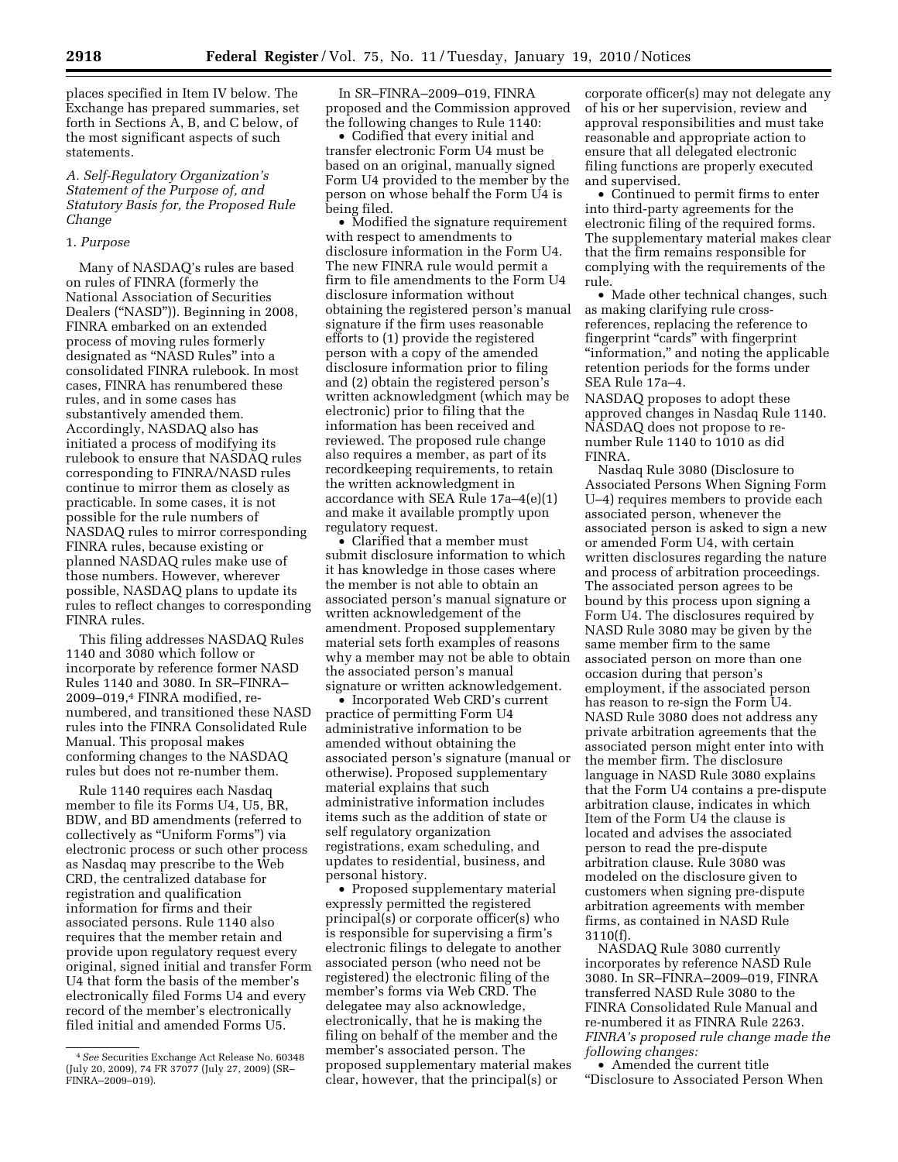places specified in Item IV below. The Exchange has prepared summaries, set forth in Sections A, B, and C below, of the most significant aspects of such statements.

## *A. Self-Regulatory Organization's Statement of the Purpose of, and Statutory Basis for, the Proposed Rule Change*

## 1. *Purpose*

Many of NASDAQ's rules are based on rules of FINRA (formerly the National Association of Securities Dealers (''NASD'')). Beginning in 2008, FINRA embarked on an extended process of moving rules formerly designated as ''NASD Rules'' into a consolidated FINRA rulebook. In most cases, FINRA has renumbered these rules, and in some cases has substantively amended them. Accordingly, NASDAQ also has initiated a process of modifying its rulebook to ensure that NASDAQ rules corresponding to FINRA/NASD rules continue to mirror them as closely as practicable. In some cases, it is not possible for the rule numbers of NASDAQ rules to mirror corresponding FINRA rules, because existing or planned NASDAQ rules make use of those numbers. However, wherever possible, NASDAQ plans to update its rules to reflect changes to corresponding FINRA rules.

This filing addresses NASDAQ Rules 1140 and 3080 which follow or incorporate by reference former NASD Rules 1140 and 3080. In SR–FINRA– 2009–019,4 FINRA modified, renumbered, and transitioned these NASD rules into the FINRA Consolidated Rule Manual. This proposal makes conforming changes to the NASDAQ rules but does not re-number them.

Rule 1140 requires each Nasdaq member to file its Forms U4, U5, BR, BDW, and BD amendments (referred to collectively as ''Uniform Forms'') via electronic process or such other process as Nasdaq may prescribe to the Web CRD, the centralized database for registration and qualification information for firms and their associated persons. Rule 1140 also requires that the member retain and provide upon regulatory request every original, signed initial and transfer Form U4 that form the basis of the member's electronically filed Forms U4 and every record of the member's electronically filed initial and amended Forms U5.

In SR–FINRA–2009–019, FINRA proposed and the Commission approved the following changes to Rule 1140:

• Codified that every initial and transfer electronic Form U4 must be based on an original, manually signed Form U4 provided to the member by the person on whose behalf the Form U4 is being filed.

• Modified the signature requirement with respect to amendments to disclosure information in the Form U4. The new FINRA rule would permit a firm to file amendments to the Form U4 disclosure information without obtaining the registered person's manual signature if the firm uses reasonable efforts to (1) provide the registered person with a copy of the amended disclosure information prior to filing and (2) obtain the registered person's written acknowledgment (which may be electronic) prior to filing that the information has been received and reviewed. The proposed rule change also requires a member, as part of its recordkeeping requirements, to retain the written acknowledgment in accordance with SEA Rule 17a–4(e)(1) and make it available promptly upon regulatory request.

• Clarified that a member must submit disclosure information to which it has knowledge in those cases where the member is not able to obtain an associated person's manual signature or written acknowledgement of the amendment. Proposed supplementary material sets forth examples of reasons why a member may not be able to obtain the associated person's manual signature or written acknowledgement.

• Incorporated Web CRD's current practice of permitting Form U4 administrative information to be amended without obtaining the associated person's signature (manual or otherwise). Proposed supplementary material explains that such administrative information includes items such as the addition of state or self regulatory organization registrations, exam scheduling, and updates to residential, business, and personal history.

• Proposed supplementary material expressly permitted the registered principal(s) or corporate officer(s) who is responsible for supervising a firm's electronic filings to delegate to another associated person (who need not be registered) the electronic filing of the member's forms via Web CRD. The delegatee may also acknowledge, electronically, that he is making the filing on behalf of the member and the member's associated person. The proposed supplementary material makes clear, however, that the principal(s) or

corporate officer(s) may not delegate any of his or her supervision, review and approval responsibilities and must take reasonable and appropriate action to ensure that all delegated electronic filing functions are properly executed and supervised.

• Continued to permit firms to enter into third-party agreements for the electronic filing of the required forms. The supplementary material makes clear that the firm remains responsible for complying with the requirements of the rule.

• Made other technical changes, such as making clarifying rule crossreferences, replacing the reference to fingerprint "cards" with fingerprint ''information,'' and noting the applicable retention periods for the forms under SEA Rule 17a–4.

NASDAQ proposes to adopt these approved changes in Nasdaq Rule 1140. NASDAQ does not propose to renumber Rule 1140 to 1010 as did FINRA.

Nasdaq Rule 3080 (Disclosure to Associated Persons When Signing Form U–4) requires members to provide each associated person, whenever the associated person is asked to sign a new or amended Form U4, with certain written disclosures regarding the nature and process of arbitration proceedings. The associated person agrees to be bound by this process upon signing a Form U4. The disclosures required by NASD Rule 3080 may be given by the same member firm to the same associated person on more than one occasion during that person's employment, if the associated person has reason to re-sign the Form U4. NASD Rule 3080 does not address any private arbitration agreements that the associated person might enter into with the member firm. The disclosure language in NASD Rule 3080 explains that the Form U4 contains a pre-dispute arbitration clause, indicates in which Item of the Form U4 the clause is located and advises the associated person to read the pre-dispute arbitration clause. Rule 3080 was modeled on the disclosure given to customers when signing pre-dispute arbitration agreements with member firms, as contained in NASD Rule 3110(f).

NASDAQ Rule 3080 currently incorporates by reference NASD Rule 3080. In SR–FINRA–2009–019, FINRA transferred NASD Rule 3080 to the FINRA Consolidated Rule Manual and re-numbered it as FINRA Rule 2263. *FINRA's proposed rule change made the following changes:* 

• Amended the current title ''Disclosure to Associated Person When

<sup>4</sup>*See* Securities Exchange Act Release No. 60348 (July 20, 2009), 74 FR 37077 (July 27, 2009) (SR– FINRA–2009–019).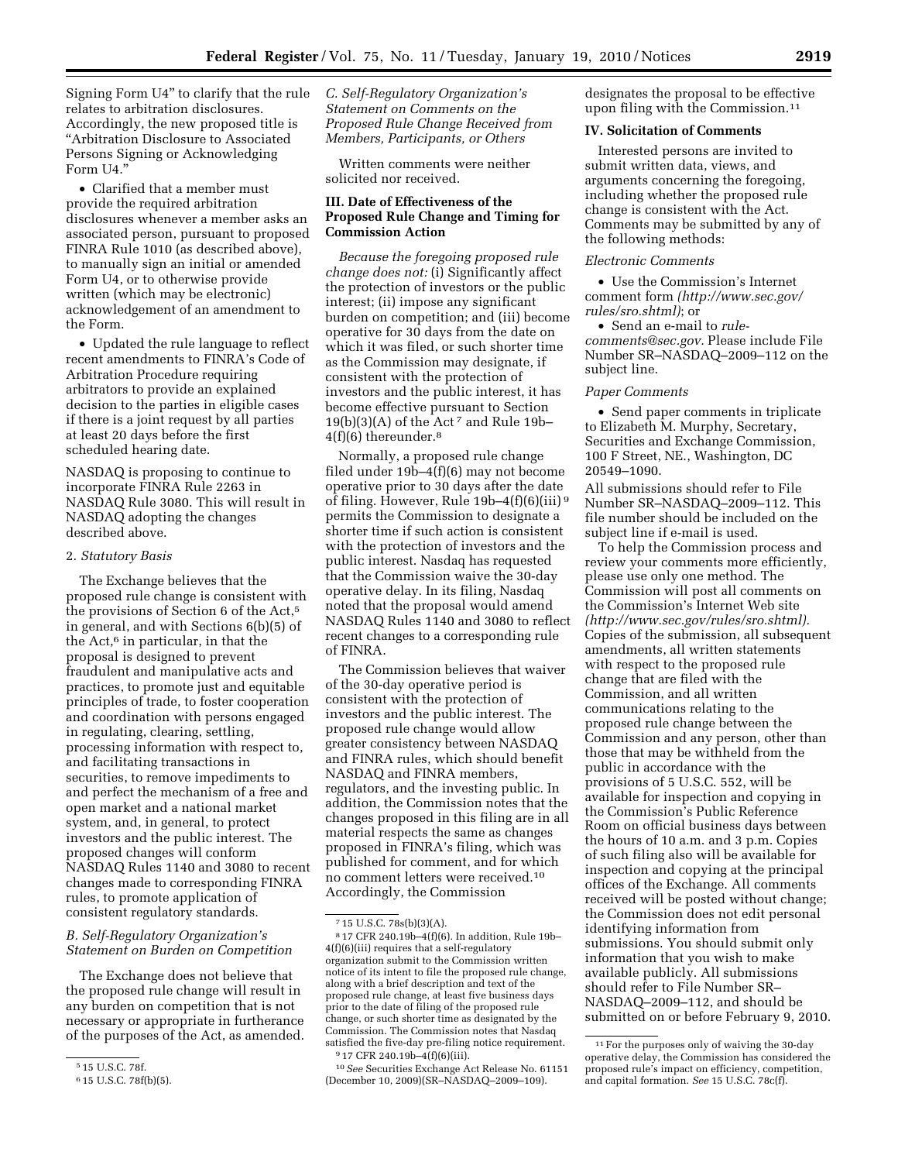Signing Form U4'' to clarify that the rule relates to arbitration disclosures. Accordingly, the new proposed title is ''Arbitration Disclosure to Associated Persons Signing or Acknowledging Form U4.''

• Clarified that a member must provide the required arbitration disclosures whenever a member asks an associated person, pursuant to proposed FINRA Rule 1010 (as described above), to manually sign an initial or amended Form U4, or to otherwise provide written (which may be electronic) acknowledgement of an amendment to the Form.

• Updated the rule language to reflect recent amendments to FINRA's Code of Arbitration Procedure requiring arbitrators to provide an explained decision to the parties in eligible cases if there is a joint request by all parties at least 20 days before the first scheduled hearing date.

NASDAQ is proposing to continue to incorporate FINRA Rule 2263 in NASDAQ Rule 3080. This will result in NASDAQ adopting the changes described above.

#### 2. *Statutory Basis*

The Exchange believes that the proposed rule change is consistent with the provisions of Section 6 of the Act,5 in general, and with Sections 6(b)(5) of the Act, $6$  in particular, in that the proposal is designed to prevent fraudulent and manipulative acts and practices, to promote just and equitable principles of trade, to foster cooperation and coordination with persons engaged in regulating, clearing, settling, processing information with respect to, and facilitating transactions in securities, to remove impediments to and perfect the mechanism of a free and open market and a national market system, and, in general, to protect investors and the public interest. The proposed changes will conform NASDAQ Rules 1140 and 3080 to recent changes made to corresponding FINRA rules, to promote application of consistent regulatory standards.

# *B. Self-Regulatory Organization's Statement on Burden on Competition*

The Exchange does not believe that the proposed rule change will result in any burden on competition that is not necessary or appropriate in furtherance of the purposes of the Act, as amended. *C. Self-Regulatory Organization's Statement on Comments on the Proposed Rule Change Received from Members, Participants, or Others* 

Written comments were neither solicited nor received.

# **III. Date of Effectiveness of the Proposed Rule Change and Timing for Commission Action**

*Because the foregoing proposed rule change does not:* (i) Significantly affect the protection of investors or the public interest; (ii) impose any significant burden on competition; and (iii) become operative for 30 days from the date on which it was filed, or such shorter time as the Commission may designate, if consistent with the protection of investors and the public interest, it has become effective pursuant to Section  $19(b)(3)(A)$  of the Act<sup>7</sup> and Rule  $19b 4(f)(6)$  thereunder.<sup>8</sup>

Normally, a proposed rule change filed under 19b–4(f)(6) may not become operative prior to 30 days after the date of filing. However, Rule 19b–4(f)(6)(iii) 9 permits the Commission to designate a shorter time if such action is consistent with the protection of investors and the public interest. Nasdaq has requested that the Commission waive the 30-day operative delay. In its filing, Nasdaq noted that the proposal would amend NASDAQ Rules 1140 and 3080 to reflect recent changes to a corresponding rule of FINRA.

The Commission believes that waiver of the 30-day operative period is consistent with the protection of investors and the public interest. The proposed rule change would allow greater consistency between NASDAQ and FINRA rules, which should benefit NASDAQ and FINRA members, regulators, and the investing public. In addition, the Commission notes that the changes proposed in this filing are in all material respects the same as changes proposed in FINRA's filing, which was published for comment, and for which no comment letters were received.10 Accordingly, the Commission

10*See* Securities Exchange Act Release No. 61151 (December 10, 2009)(SR–NASDAQ–2009–109).

designates the proposal to be effective upon filing with the Commission.11

## **IV. Solicitation of Comments**

Interested persons are invited to submit written data, views, and arguments concerning the foregoing, including whether the proposed rule change is consistent with the Act. Comments may be submitted by any of the following methods:

## *Electronic Comments*

• Use the Commission's Internet comment form *(http://www.sec.gov/ rules/sro.shtml)*; or

• Send an e-mail to *rulecomments@sec.gov.* Please include File Number SR–NASDAQ–2009–112 on the subject line.

## *Paper Comments*

• Send paper comments in triplicate to Elizabeth M. Murphy, Secretary, Securities and Exchange Commission, 100 F Street, NE., Washington, DC 20549–1090.

All submissions should refer to File Number SR–NASDAQ–2009–112. This file number should be included on the subject line if e-mail is used.

To help the Commission process and review your comments more efficiently, please use only one method. The Commission will post all comments on the Commission's Internet Web site *(http://www.sec.gov/rules/sro.shtml).*  Copies of the submission, all subsequent amendments, all written statements with respect to the proposed rule change that are filed with the Commission, and all written communications relating to the proposed rule change between the Commission and any person, other than those that may be withheld from the public in accordance with the provisions of 5 U.S.C. 552, will be available for inspection and copying in the Commission's Public Reference Room on official business days between the hours of 10 a.m. and 3 p.m. Copies of such filing also will be available for inspection and copying at the principal offices of the Exchange. All comments received will be posted without change; the Commission does not edit personal identifying information from submissions. You should submit only information that you wish to make available publicly. All submissions should refer to File Number SR– NASDAQ–2009–112, and should be submitted on or before February 9, 2010.

<sup>5</sup> 15 U.S.C. 78f.

<sup>6</sup> 15 U.S.C. 78f(b)(5).

<sup>7</sup> 15 U.S.C. 78s(b)(3)(A).

<sup>8</sup> 17 CFR 240.19b–4(f)(6). In addition, Rule 19b– 4(f)(6)(iii) requires that a self-regulatory organization submit to the Commission written notice of its intent to file the proposed rule change, along with a brief description and text of the proposed rule change, at least five business days prior to the date of filing of the proposed rule change, or such shorter time as designated by the Commission. The Commission notes that Nasdaq satisfied the five-day pre-filing notice requirement.

<sup>9</sup> 17 CFR 240.19b–4(f)(6)(iii).

<sup>11</sup>For the purposes only of waiving the 30-day operative delay, the Commission has considered the proposed rule's impact on efficiency, competition, and capital formation. *See* 15 U.S.C. 78c(f).